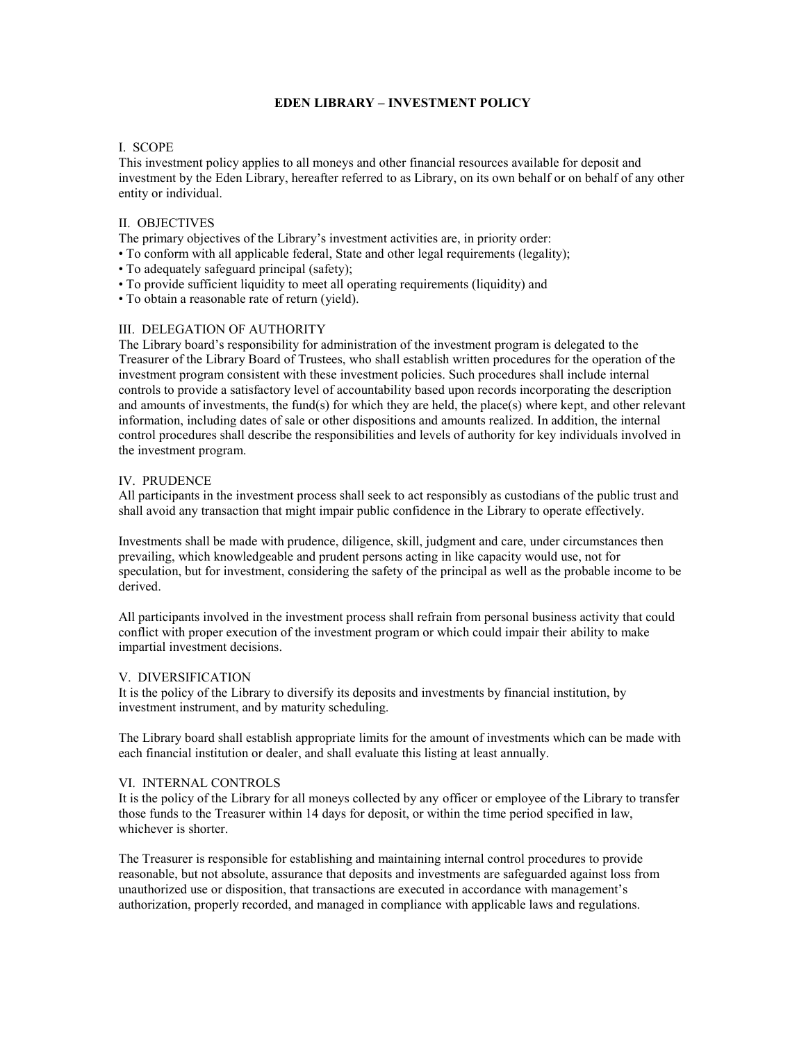# **EDEN LIBRARY – INVESTMENT POLICY**

## I. SCOPE

This investment policy applies to all moneys and other financial resources available for deposit and investment by the Eden Library, hereafter referred to as Library, on its own behalf or on behalf of any other entity or individual.

# II. OBJECTIVES

The primary objectives of the Library's investment activities are, in priority order:

- To conform with all applicable federal, State and other legal requirements (legality);
- To adequately safeguard principal (safety);
- To provide sufficient liquidity to meet all operating requirements (liquidity) and
- To obtain a reasonable rate of return (yield).

# III. DELEGATION OF AUTHORITY

The Library board's responsibility for administration of the investment program is delegated to the Treasurer of the Library Board of Trustees, who shall establish written procedures for the operation of the investment program consistent with these investment policies. Such procedures shall include internal controls to provide a satisfactory level of accountability based upon records incorporating the description and amounts of investments, the fund(s) for which they are held, the place(s) where kept, and other relevant information, including dates of sale or other dispositions and amounts realized. In addition, the internal control procedures shall describe the responsibilities and levels of authority for key individuals involved in the investment program.

# IV. PRUDENCE

All participants in the investment process shall seek to act responsibly as custodians of the public trust and shall avoid any transaction that might impair public confidence in the Library to operate effectively.

Investments shall be made with prudence, diligence, skill, judgment and care, under circumstances then prevailing, which knowledgeable and prudent persons acting in like capacity would use, not for speculation, but for investment, considering the safety of the principal as well as the probable income to be derived.

All participants involved in the investment process shall refrain from personal business activity that could conflict with proper execution of the investment program or which could impair their ability to make impartial investment decisions.

#### V. DIVERSIFICATION

It is the policy of the Library to diversify its deposits and investments by financial institution, by investment instrument, and by maturity scheduling.

The Library board shall establish appropriate limits for the amount of investments which can be made with each financial institution or dealer, and shall evaluate this listing at least annually.

## VI. INTERNAL CONTROLS

It is the policy of the Library for all moneys collected by any officer or employee of the Library to transfer those funds to the Treasurer within 14 days for deposit, or within the time period specified in law, whichever is shorter.

The Treasurer is responsible for establishing and maintaining internal control procedures to provide reasonable, but not absolute, assurance that deposits and investments are safeguarded against loss from unauthorized use or disposition, that transactions are executed in accordance with management's authorization, properly recorded, and managed in compliance with applicable laws and regulations.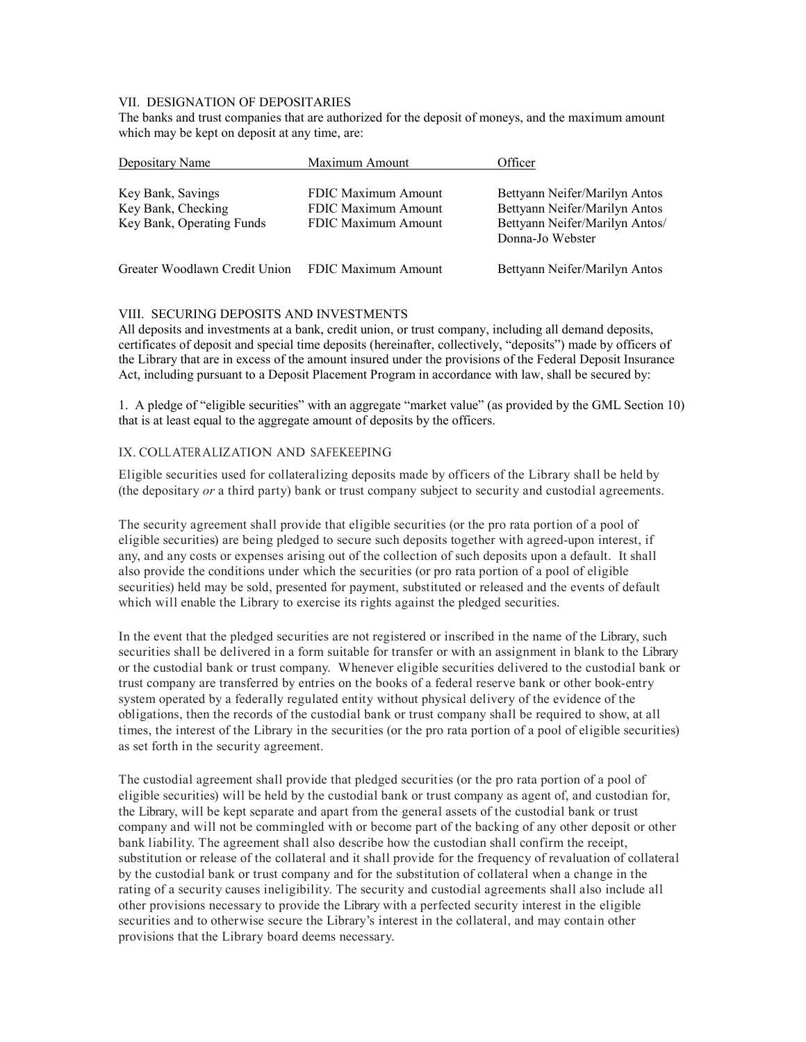#### VII. DESIGNATION OF DEPOSITARIES

The banks and trust companies that are authorized for the deposit of moneys, and the maximum amount which may be kept on deposit at any time, are:

| Depositary Name                                                      | Maximum Amount                                                    | Officer                                                                                                              |
|----------------------------------------------------------------------|-------------------------------------------------------------------|----------------------------------------------------------------------------------------------------------------------|
| Key Bank, Savings<br>Key Bank, Checking<br>Key Bank, Operating Funds | FDIC Maximum Amount<br>FDIC Maximum Amount<br>FDIC Maximum Amount | Bettyann Neifer/Marilyn Antos<br>Bettyann Neifer/Marilyn Antos<br>Bettyann Neifer/Marilyn Antos/<br>Donna-Jo Webster |
| Greater Woodlawn Credit Union                                        | FDIC Maximum Amount                                               | Bettyann Neifer/Marilyn Antos                                                                                        |

### VIII. SECURING DEPOSITS AND INVESTMENTS

All deposits and investments at a bank, credit union, or trust company, including all demand deposits, certificates of deposit and special time deposits (hereinafter, collectively, "deposits") made by officers of the Library that are in excess of the amount insured under the provisions of the Federal Deposit Insurance Act, including pursuant to a Deposit Placement Program in accordance with law, shall be secured by:

1. A pledge of "eligible securities" with an aggregate "market value" (as provided by the GML Section 10) that is at least equal to the aggregate amount of deposits by the officers.

# IX. COLLATERALIZATION AND SAFEKEEPING

Eligible securities used for collateralizing deposits made by officers of the Library shall be held by (the depositary *or* a third party) bank or trust company subject to security and custodial agreements.

The security agreement shall provide that eligible securities (or the pro rata portion of a pool of eligible securities) are being pledged to secure such deposits together with agreed-upon interest, if any, and any costs or expenses arising out of the collection of such deposits upon a default. It shall also provide the conditions under which the securities (or pro rata portion of a pool of eligible securities) held may be sold, presented for payment, substituted or released and the events of default which will enable the Library to exercise its rights against the pledged securities.

In the event that the pledged securities are not registered or inscribed in the name of the Library, such securities shall be delivered in a form suitable for transfer or with an assignment in blank to the Library or the custodial bank or trust company. Whenever eligible securities delivered to the custodial bank or trust company are transferred by entries on the books of a federal reserve bank or other book-entry system operated by a federally regulated entity without physical delivery of the evidence of the obligations, then the records of the custodial bank or trust company shall be required to show, at all times, the interest of the Library in the securities (or the pro rata portion of a pool of eligible securities) as set forth in the security agreement.

The custodial agreement shall provide that pledged securities (or the pro rata portion of a pool of eligible securities) will be held by the custodial bank or trust company as agent of, and custodian for, the Library, will be kept separate and apart from the general assets of the custodial bank or trust company and will not be commingled with or become part of the backing of any other deposit or other bank liability. The agreement shall also describe how the custodian shall confirm the receipt, substitution or release of the collateral and it shall provide for the frequency of revaluation of collateral by the custodial bank or trust company and for the substitution of collateral when a change in the rating of a security causes ineligibility. The security and custodial agreements shall also include all other provisions necessary to provide the Library with a perfected security interest in the eligible securities and to otherwise secure the Library's interest in the collateral, and may contain other provisions that the Library board deems necessary.